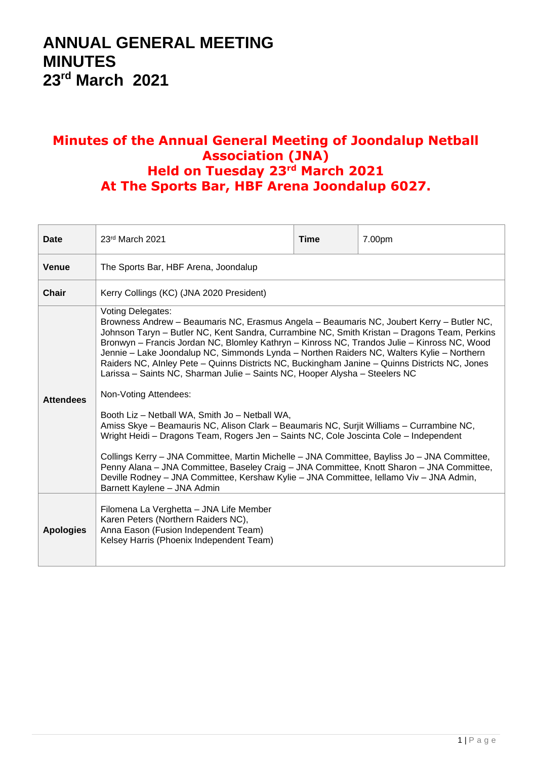## **ANNUAL GENERAL MEETING MINUTES 23rd March 2021**

## **Minutes of the Annual General Meeting of Joondalup Netball Association (JNA) Held on Tuesday 23rd March 2021 At The Sports Bar, HBF Arena Joondalup 6027.**

| Date             | 23rd March 2021                                                                                                                                                                                                                                                                                                                                                                                                                                                                                                                                                                                                                                                                                                                                                                                                                                                                                                                                                                                                                                                                                                                                                                          | Time | 7.00pm |  |  |
|------------------|------------------------------------------------------------------------------------------------------------------------------------------------------------------------------------------------------------------------------------------------------------------------------------------------------------------------------------------------------------------------------------------------------------------------------------------------------------------------------------------------------------------------------------------------------------------------------------------------------------------------------------------------------------------------------------------------------------------------------------------------------------------------------------------------------------------------------------------------------------------------------------------------------------------------------------------------------------------------------------------------------------------------------------------------------------------------------------------------------------------------------------------------------------------------------------------|------|--------|--|--|
| <b>Venue</b>     | The Sports Bar, HBF Arena, Joondalup                                                                                                                                                                                                                                                                                                                                                                                                                                                                                                                                                                                                                                                                                                                                                                                                                                                                                                                                                                                                                                                                                                                                                     |      |        |  |  |
| Chair            | Kerry Collings (KC) (JNA 2020 President)                                                                                                                                                                                                                                                                                                                                                                                                                                                                                                                                                                                                                                                                                                                                                                                                                                                                                                                                                                                                                                                                                                                                                 |      |        |  |  |
| <b>Attendees</b> | <b>Voting Delegates:</b><br>Browness Andrew - Beaumaris NC, Erasmus Angela - Beaumaris NC, Joubert Kerry - Butler NC,<br>Johnson Taryn – Butler NC, Kent Sandra, Currambine NC, Smith Kristan – Dragons Team, Perkins<br>Bronwyn - Francis Jordan NC, Blomley Kathryn - Kinross NC, Trandos Julie - Kinross NC, Wood<br>Jennie – Lake Joondalup NC, Simmonds Lynda – Northen Raiders NC, Walters Kylie – Northern<br>Raiders NC, Alnley Pete - Quinns Districts NC, Buckingham Janine - Quinns Districts NC, Jones<br>Larissa – Saints NC, Sharman Julie – Saints NC, Hooper Alysha – Steelers NC<br>Non-Voting Attendees:<br>Booth Liz - Netball WA, Smith Jo - Netball WA,<br>Amiss Skye - Beamauris NC, Alison Clark - Beaumaris NC, Surjit Williams - Currambine NC,<br>Wright Heidi - Dragons Team, Rogers Jen - Saints NC, Cole Joscinta Cole - Independent<br>Collings Kerry - JNA Committee, Martin Michelle - JNA Committee, Bayliss Jo - JNA Committee,<br>Penny Alana - JNA Committee, Baseley Craig - JNA Committee, Knott Sharon - JNA Committee,<br>Deville Rodney - JNA Committee, Kershaw Kylie - JNA Committee, Iellamo Viv - JNA Admin,<br>Barnett Kaylene - JNA Admin |      |        |  |  |
| <b>Apologies</b> | Filomena La Verghetta - JNA Life Member<br>Karen Peters (Northern Raiders NC),<br>Anna Eason (Fusion Independent Team)<br>Kelsey Harris (Phoenix Independent Team)                                                                                                                                                                                                                                                                                                                                                                                                                                                                                                                                                                                                                                                                                                                                                                                                                                                                                                                                                                                                                       |      |        |  |  |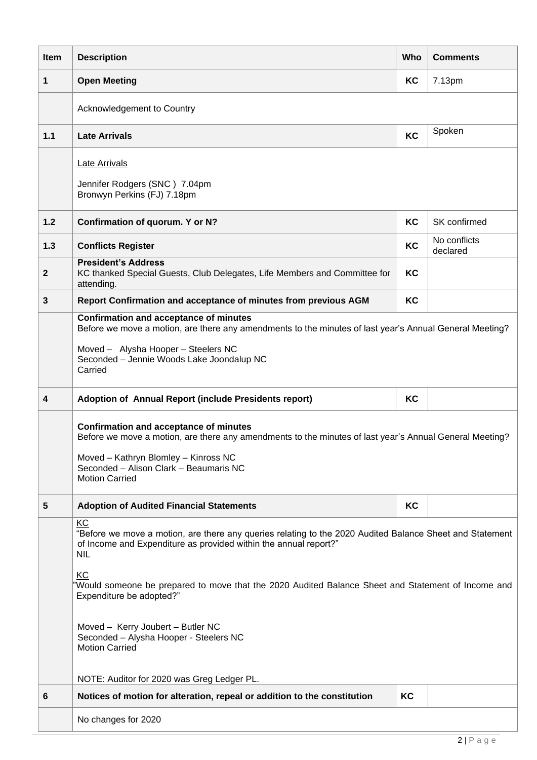| Item                    | <b>Description</b>                                                                                                                                                                                                                                                                                                                                                                                                                               | Who | <b>Comments</b>          |  |  |
|-------------------------|--------------------------------------------------------------------------------------------------------------------------------------------------------------------------------------------------------------------------------------------------------------------------------------------------------------------------------------------------------------------------------------------------------------------------------------------------|-----|--------------------------|--|--|
| 1                       | <b>Open Meeting</b>                                                                                                                                                                                                                                                                                                                                                                                                                              | KC  | 7.13pm                   |  |  |
|                         | Acknowledgement to Country                                                                                                                                                                                                                                                                                                                                                                                                                       |     |                          |  |  |
| 1.1                     | <b>Late Arrivals</b>                                                                                                                                                                                                                                                                                                                                                                                                                             | KC  | Spoken                   |  |  |
|                         | <b>Late Arrivals</b><br>Jennifer Rodgers (SNC) 7.04pm<br>Bronwyn Perkins (FJ) 7.18pm                                                                                                                                                                                                                                                                                                                                                             |     |                          |  |  |
| 1.2                     | Confirmation of quorum. Y or N?                                                                                                                                                                                                                                                                                                                                                                                                                  | KC  | SK confirmed             |  |  |
| 1.3                     | <b>Conflicts Register</b>                                                                                                                                                                                                                                                                                                                                                                                                                        | KC  | No conflicts<br>declared |  |  |
| $\mathbf{2}$            | <b>President's Address</b><br>KC thanked Special Guests, Club Delegates, Life Members and Committee for<br>attending.                                                                                                                                                                                                                                                                                                                            |     |                          |  |  |
| $\mathbf{3}$            | Report Confirmation and acceptance of minutes from previous AGM                                                                                                                                                                                                                                                                                                                                                                                  | KC  |                          |  |  |
|                         | <b>Confirmation and acceptance of minutes</b><br>Before we move a motion, are there any amendments to the minutes of last year's Annual General Meeting?<br>Moved - Alysha Hooper - Steelers NC<br>Seconded - Jennie Woods Lake Joondalup NC<br>Carried                                                                                                                                                                                          |     |                          |  |  |
| 4                       | Adoption of Annual Report (include Presidents report)                                                                                                                                                                                                                                                                                                                                                                                            | KC  |                          |  |  |
|                         | <b>Confirmation and acceptance of minutes</b><br>Before we move a motion, are there any amendments to the minutes of last year's Annual General Meeting?<br>Moved - Kathryn Blomley - Kinross NC<br>Seconded - Alison Clark - Beaumaris NC<br><b>Motion Carried</b>                                                                                                                                                                              |     |                          |  |  |
| $\overline{\mathbf{5}}$ | <b>Adoption of Audited Financial Statements</b>                                                                                                                                                                                                                                                                                                                                                                                                  | KC  |                          |  |  |
|                         | KC<br>"Before we move a motion, are there any queries relating to the 2020 Audited Balance Sheet and Statement<br>of Income and Expenditure as provided within the annual report?"<br><b>NIL</b><br>KC<br>'Would someone be prepared to move that the 2020 Audited Balance Sheet and Statement of Income and<br>Expenditure be adopted?"<br>Moved - Kerry Joubert - Butler NC<br>Seconded - Alysha Hooper - Steelers NC<br><b>Motion Carried</b> |     |                          |  |  |
| 6                       | NOTE: Auditor for 2020 was Greg Ledger PL.<br>Notices of motion for alteration, repeal or addition to the constitution                                                                                                                                                                                                                                                                                                                           | KC  |                          |  |  |
|                         | No changes for 2020                                                                                                                                                                                                                                                                                                                                                                                                                              |     |                          |  |  |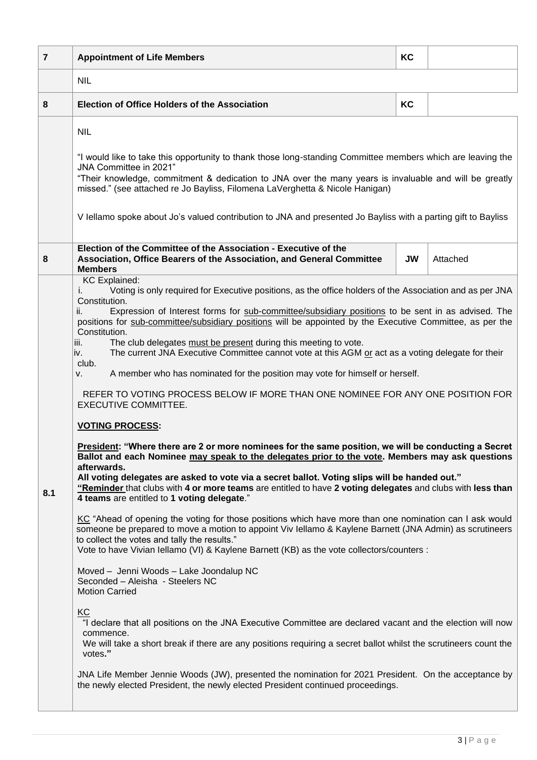| $\overline{7}$ | <b>Appointment of Life Members</b>                                                                                                                                                                                                                                                                                                                                                                                                                                                                                                                                                                                                                                                                                                                                                                                                                                                                                                                                                                                                                                                                                                                                                                                                                                                                                                                                                                                                                                                                                                                                                                                                                                                                                                                                                                                                                                                                                                                                                                                                                                                                                                                                                                                                                           | KC |          |  |  |
|----------------|--------------------------------------------------------------------------------------------------------------------------------------------------------------------------------------------------------------------------------------------------------------------------------------------------------------------------------------------------------------------------------------------------------------------------------------------------------------------------------------------------------------------------------------------------------------------------------------------------------------------------------------------------------------------------------------------------------------------------------------------------------------------------------------------------------------------------------------------------------------------------------------------------------------------------------------------------------------------------------------------------------------------------------------------------------------------------------------------------------------------------------------------------------------------------------------------------------------------------------------------------------------------------------------------------------------------------------------------------------------------------------------------------------------------------------------------------------------------------------------------------------------------------------------------------------------------------------------------------------------------------------------------------------------------------------------------------------------------------------------------------------------------------------------------------------------------------------------------------------------------------------------------------------------------------------------------------------------------------------------------------------------------------------------------------------------------------------------------------------------------------------------------------------------------------------------------------------------------------------------------------------------|----|----------|--|--|
|                | <b>NIL</b>                                                                                                                                                                                                                                                                                                                                                                                                                                                                                                                                                                                                                                                                                                                                                                                                                                                                                                                                                                                                                                                                                                                                                                                                                                                                                                                                                                                                                                                                                                                                                                                                                                                                                                                                                                                                                                                                                                                                                                                                                                                                                                                                                                                                                                                   |    |          |  |  |
| 8              | <b>Election of Office Holders of the Association</b>                                                                                                                                                                                                                                                                                                                                                                                                                                                                                                                                                                                                                                                                                                                                                                                                                                                                                                                                                                                                                                                                                                                                                                                                                                                                                                                                                                                                                                                                                                                                                                                                                                                                                                                                                                                                                                                                                                                                                                                                                                                                                                                                                                                                         | KC |          |  |  |
|                | <b>NIL</b><br>"I would like to take this opportunity to thank those long-standing Committee members which are leaving the<br>JNA Committee in 2021"<br>"Their knowledge, commitment & dedication to JNA over the many years is invaluable and will be greatly<br>missed." (see attached re Jo Bayliss, Filomena LaVerghetta & Nicole Hanigan)<br>V Iellamo spoke about Jo's valued contribution to JNA and presented Jo Bayliss with a parting gift to Bayliss                                                                                                                                                                                                                                                                                                                                                                                                                                                                                                                                                                                                                                                                                                                                                                                                                                                                                                                                                                                                                                                                                                                                                                                                                                                                                                                                                                                                                                                                                                                                                                                                                                                                                                                                                                                               |    |          |  |  |
| 8              | Election of the Committee of the Association - Executive of the<br>Association, Office Bearers of the Association, and General Committee<br><b>Members</b>                                                                                                                                                                                                                                                                                                                                                                                                                                                                                                                                                                                                                                                                                                                                                                                                                                                                                                                                                                                                                                                                                                                                                                                                                                                                                                                                                                                                                                                                                                                                                                                                                                                                                                                                                                                                                                                                                                                                                                                                                                                                                                   | JW | Attached |  |  |
| 8.1            | <b>KC</b> Explained:<br>Voting is only required for Executive positions, as the office holders of the Association and as per JNA<br>Constitution.<br>Expression of Interest forms for sub-committee/subsidiary positions to be sent in as advised. The<br>ii.<br>positions for sub-committee/subsidiary positions will be appointed by the Executive Committee, as per the<br>Constitution.<br>The club delegates must be present during this meeting to vote.<br>iii.<br>The current JNA Executive Committee cannot vote at this AGM or act as a voting delegate for their<br>iv.<br>club.<br>A member who has nominated for the position may vote for himself or herself.<br>v.<br>REFER TO VOTING PROCESS BELOW IF MORE THAN ONE NOMINEE FOR ANY ONE POSITION FOR<br><b>EXECUTIVE COMMITTEE.</b><br><b>VOTING PROCESS:</b><br>President: "Where there are 2 or more nominees for the same position, we will be conducting a Secret<br>Ballot and each Nominee may speak to the delegates prior to the vote. Members may ask questions<br>afterwards.<br>All voting delegates are asked to vote via a secret ballot. Voting slips will be handed out."<br>"Reminder that clubs with 4 or more teams are entitled to have 2 voting delegates and clubs with less than<br>4 teams are entitled to 1 voting delegate."<br>KC "Ahead of opening the voting for those positions which have more than one nomination can I ask would<br>someone be prepared to move a motion to appoint Viv Iellamo & Kaylene Barnett (JNA Admin) as scrutineers<br>to collect the votes and tally the results."<br>Vote to have Vivian Iellamo (VI) & Kaylene Barnett (KB) as the vote collectors/counters :<br>Moved - Jenni Woods - Lake Joondalup NC<br>Seconded - Aleisha - Steelers NC<br><b>Motion Carried</b><br>KC<br>"I declare that all positions on the JNA Executive Committee are declared vacant and the election will now<br>commence.<br>We will take a short break if there are any positions requiring a secret ballot whilst the scrutineers count the<br>votes."<br>JNA Life Member Jennie Woods (JW), presented the nomination for 2021 President. On the acceptance by<br>the newly elected President, the newly elected President continued proceedings. |    |          |  |  |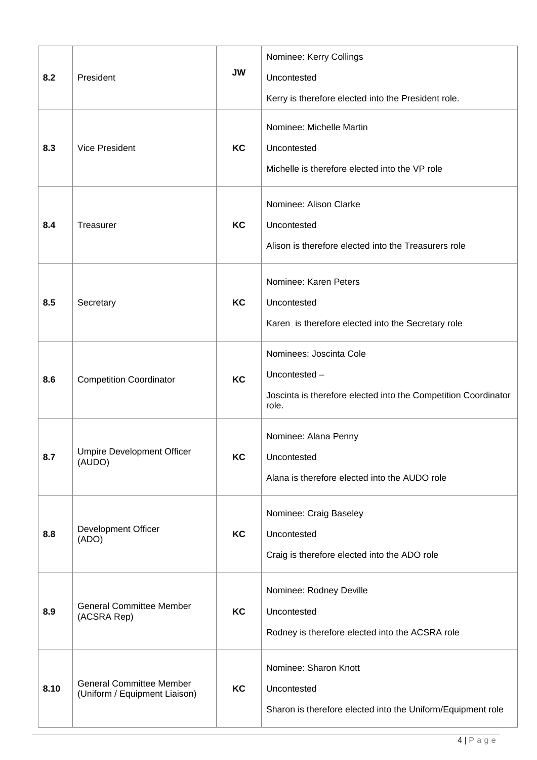| 8.2  | President                                                        | <b>JW</b> | Nominee: Kerry Collings<br>Uncontested<br>Kerry is therefore elected into the President role.                       |  |
|------|------------------------------------------------------------------|-----------|---------------------------------------------------------------------------------------------------------------------|--|
| 8.3  | <b>Vice President</b>                                            | <b>KC</b> | Nominee: Michelle Martin<br>Uncontested<br>Michelle is therefore elected into the VP role                           |  |
| 8.4  | Treasurer                                                        | <b>KC</b> | Nominee: Alison Clarke<br>Uncontested<br>Alison is therefore elected into the Treasurers role                       |  |
| 8.5  | Secretary                                                        | <b>KC</b> | Nominee: Karen Peters<br>Uncontested<br>Karen is therefore elected into the Secretary role                          |  |
| 8.6  | <b>Competition Coordinator</b>                                   | KC        | Nominees: Joscinta Cole<br>Uncontested -<br>Joscinta is therefore elected into the Competition Coordinator<br>role. |  |
| 8.7  | <b>Umpire Development Officer</b><br>(AUDO)                      | KC        | Nominee: Alana Penny<br>Uncontested<br>Alana is therefore elected into the AUDO role                                |  |
| 8.8  | Development Officer<br>(ADO)                                     | KC        | Nominee: Craig Baseley<br>Uncontested<br>Craig is therefore elected into the ADO role                               |  |
| 8.9  | <b>General Committee Member</b><br>(ACSRA Rep)                   | KC        | Nominee: Rodney Deville<br>Uncontested<br>Rodney is therefore elected into the ACSRA role                           |  |
| 8.10 | <b>General Committee Member</b><br>(Uniform / Equipment Liaison) | KC        | Nominee: Sharon Knott<br>Uncontested<br>Sharon is therefore elected into the Uniform/Equipment role                 |  |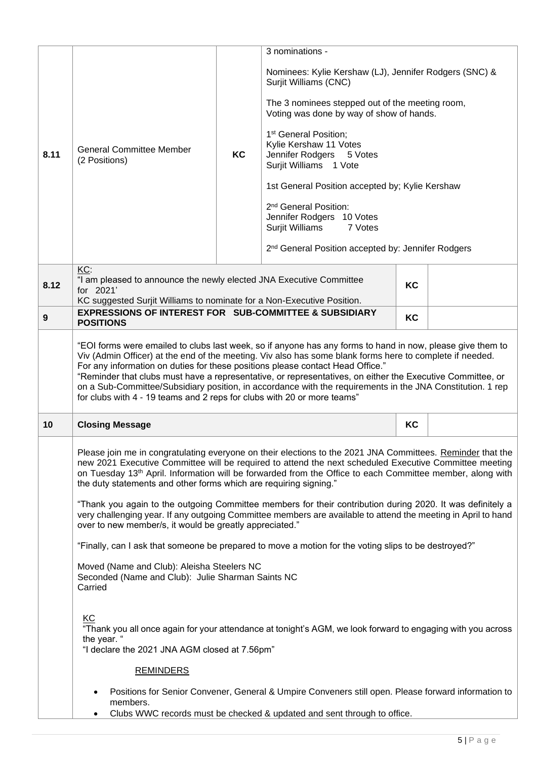|      |                                                                                                                                                                                                                                                                                                                                                                                                                                                                                                                                                                                                                                                                                                              |    | 3 nominations -                                                                                                                                                                                                                                                                                                                                                                                                                                                                                                             |    |  |
|------|--------------------------------------------------------------------------------------------------------------------------------------------------------------------------------------------------------------------------------------------------------------------------------------------------------------------------------------------------------------------------------------------------------------------------------------------------------------------------------------------------------------------------------------------------------------------------------------------------------------------------------------------------------------------------------------------------------------|----|-----------------------------------------------------------------------------------------------------------------------------------------------------------------------------------------------------------------------------------------------------------------------------------------------------------------------------------------------------------------------------------------------------------------------------------------------------------------------------------------------------------------------------|----|--|
| 8.11 | <b>General Committee Member</b><br>(2 Positions)                                                                                                                                                                                                                                                                                                                                                                                                                                                                                                                                                                                                                                                             | KC | Nominees: Kylie Kershaw (LJ), Jennifer Rodgers (SNC) &<br>Surjit Williams (CNC)<br>The 3 nominees stepped out of the meeting room,<br>Voting was done by way of show of hands.<br>1 <sup>st</sup> General Position;<br>Kylie Kershaw 11 Votes<br>Jennifer Rodgers<br>5 Votes<br>Surjit Williams 1 Vote<br>1st General Position accepted by; Kylie Kershaw<br>2 <sup>nd</sup> General Position:<br>Jennifer Rodgers 10 Votes<br>Surjit Williams<br>7 Votes<br>2 <sup>nd</sup> General Position accepted by: Jennifer Rodgers |    |  |
| 8.12 | KC:<br>"I am pleased to announce the newly elected JNA Executive Committee<br>KC<br>for 2021'                                                                                                                                                                                                                                                                                                                                                                                                                                                                                                                                                                                                                |    |                                                                                                                                                                                                                                                                                                                                                                                                                                                                                                                             |    |  |
| 9    | KC suggested Surjit Williams to nominate for a Non-Executive Position.<br><b>EXPRESSIONS OF INTEREST FOR SUB-COMMITTEE &amp; SUBSIDIARY</b><br><b>POSITIONS</b>                                                                                                                                                                                                                                                                                                                                                                                                                                                                                                                                              |    |                                                                                                                                                                                                                                                                                                                                                                                                                                                                                                                             | KC |  |
|      | "EOI forms were emailed to clubs last week, so if anyone has any forms to hand in now, please give them to<br>Viv (Admin Officer) at the end of the meeting. Viv also has some blank forms here to complete if needed.<br>For any information on duties for these positions please contact Head Office."<br>"Reminder that clubs must have a representative, or representatives, on either the Executive Committee, or<br>on a Sub-Committee/Subsidiary position, in accordance with the requirements in the JNA Constitution. 1 rep<br>for clubs with 4 - 19 teams and 2 reps for clubs with 20 or more teams"                                                                                              |    |                                                                                                                                                                                                                                                                                                                                                                                                                                                                                                                             |    |  |
| 10   | <b>Closing Message</b>                                                                                                                                                                                                                                                                                                                                                                                                                                                                                                                                                                                                                                                                                       |    |                                                                                                                                                                                                                                                                                                                                                                                                                                                                                                                             | KC |  |
|      | Please join me in congratulating everyone on their elections to the 2021 JNA Committees. Reminder that the<br>new 2021 Executive Committee will be required to attend the next scheduled Executive Committee meeting<br>on Tuesday 13 <sup>th</sup> April. Information will be forwarded from the Office to each Committee member, along with<br>the duty statements and other forms which are requiring signing."<br>"Thank you again to the outgoing Committee members for their contribution during 2020. It was definitely a<br>very challenging year. If any outgoing Committee members are available to attend the meeting in April to hand<br>over to new member/s, it would be greatly appreciated." |    |                                                                                                                                                                                                                                                                                                                                                                                                                                                                                                                             |    |  |
|      | "Finally, can I ask that someone be prepared to move a motion for the voting slips to be destroyed?"<br>Moved (Name and Club): Aleisha Steelers NC<br>Seconded (Name and Club): Julie Sharman Saints NC<br>Carried                                                                                                                                                                                                                                                                                                                                                                                                                                                                                           |    |                                                                                                                                                                                                                                                                                                                                                                                                                                                                                                                             |    |  |
|      | KC<br>"Thank you all once again for your attendance at tonight's AGM, we look forward to engaging with you across<br>the year. "<br>"I declare the 2021 JNA AGM closed at 7.56pm"                                                                                                                                                                                                                                                                                                                                                                                                                                                                                                                            |    |                                                                                                                                                                                                                                                                                                                                                                                                                                                                                                                             |    |  |
|      | <b>REMINDERS</b>                                                                                                                                                                                                                                                                                                                                                                                                                                                                                                                                                                                                                                                                                             |    |                                                                                                                                                                                                                                                                                                                                                                                                                                                                                                                             |    |  |
|      | $\bullet$<br>members.                                                                                                                                                                                                                                                                                                                                                                                                                                                                                                                                                                                                                                                                                        |    | Positions for Senior Convener, General & Umpire Conveners still open. Please forward information to<br>Clubs WWC records must be checked & updated and sent through to office.                                                                                                                                                                                                                                                                                                                                              |    |  |